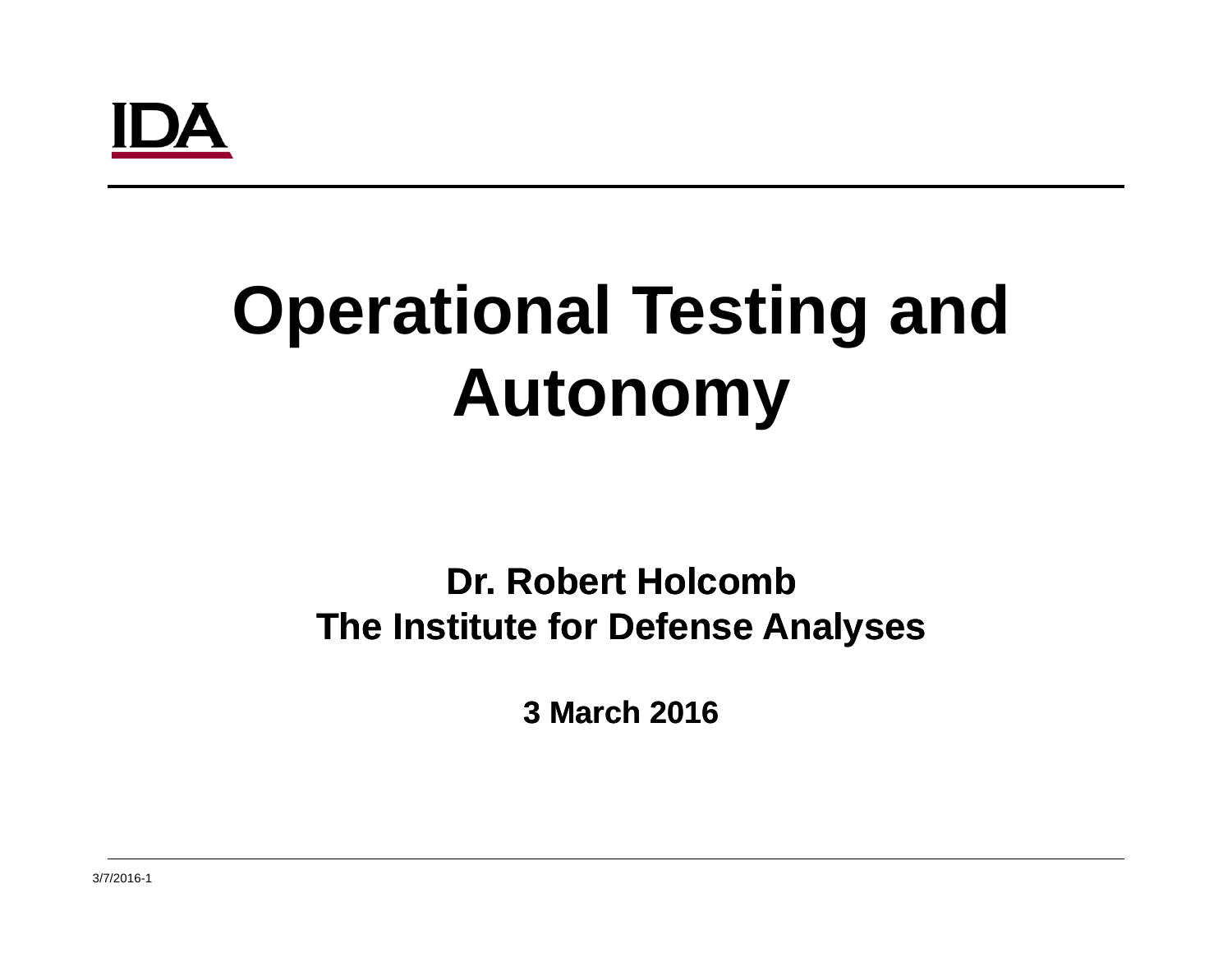## I IA

### **Operational Testing and Testing an Autonomy**

#### **Dr. Robert HolcombThe Institute for Defense Analyses**

**3 March 2016**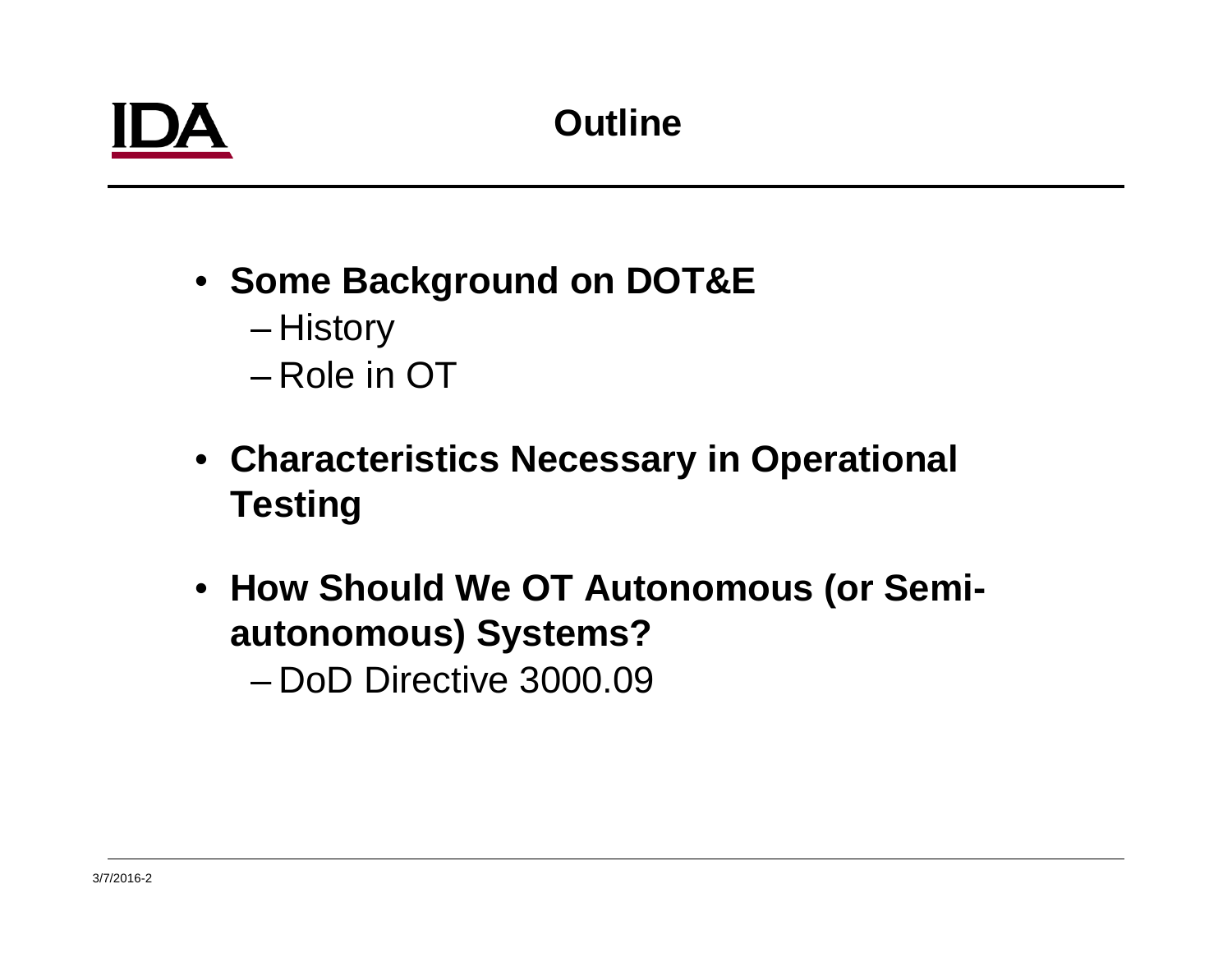- **Some Background on DOT&E** History – Role in OT
- **Characteristics Necessary in Operational Testing**
- **How Should We OT Autonomous (or Semiautonomous) Systems?**

– DoD Directive 3000.09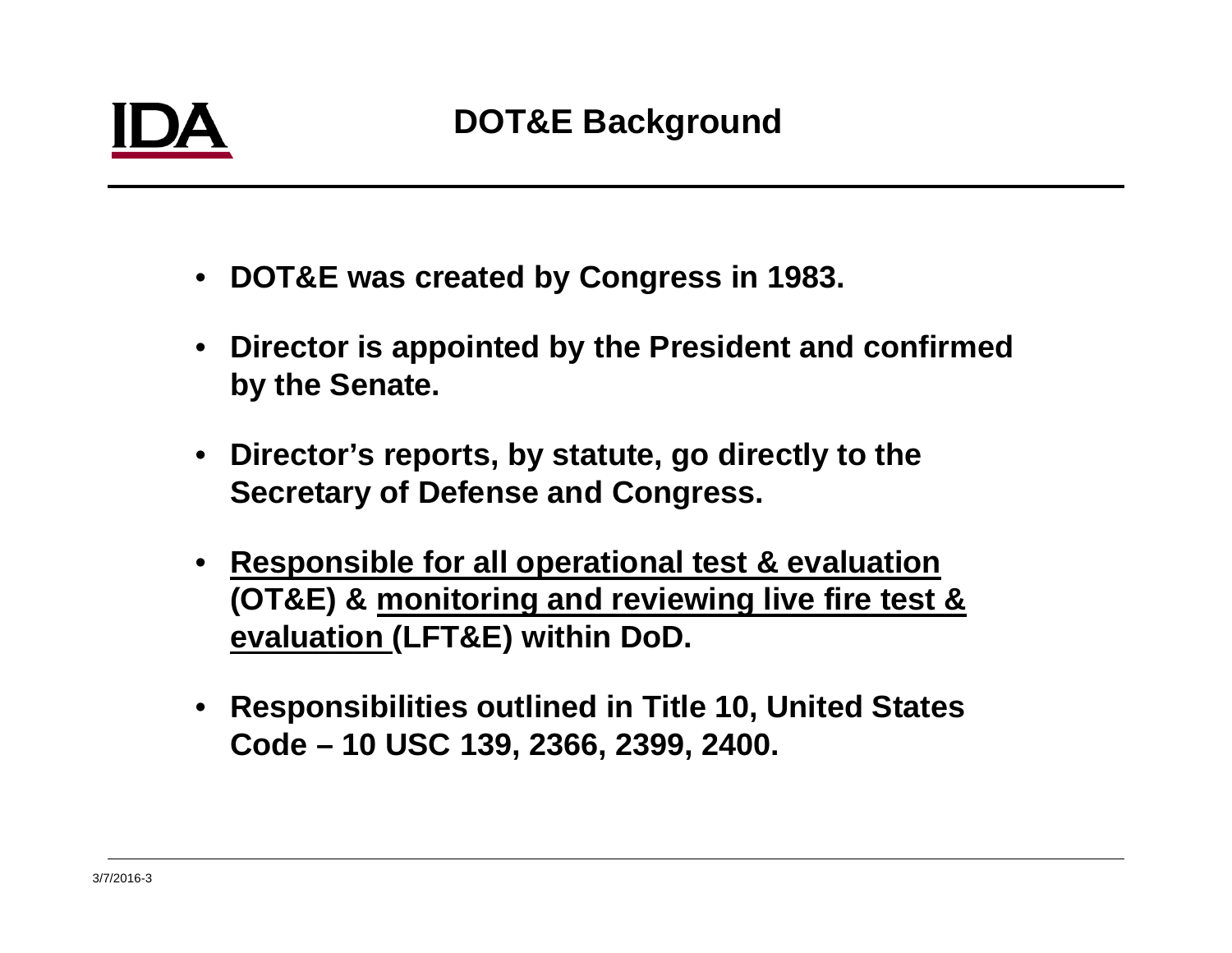- **DOT&E was created by Congress in 1983.**
- • **Director is appointed by the President and confirmed by the Senate.**
- **Director's reports, by statute, go directly to the Secretary of Defense and Congress.**
- • **Responsible for all operational test & evaluation (OT&E) & monitoring and reviewing live fire test & evaluation (LFT&E) within DoD.**
- **Responsibilities outlined in Title 10, United States Code – 10 USC 139, 2366, 2399, 2400.**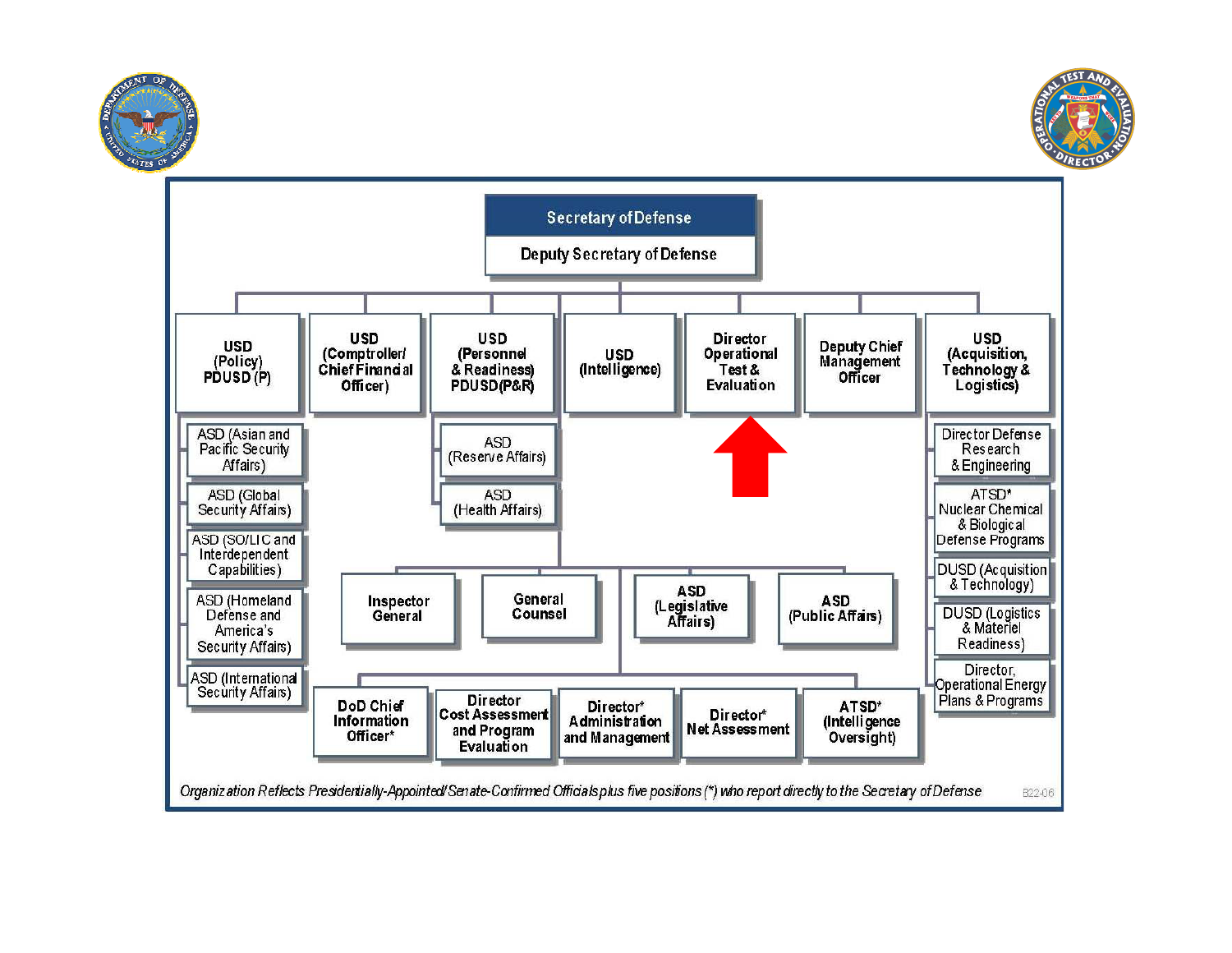



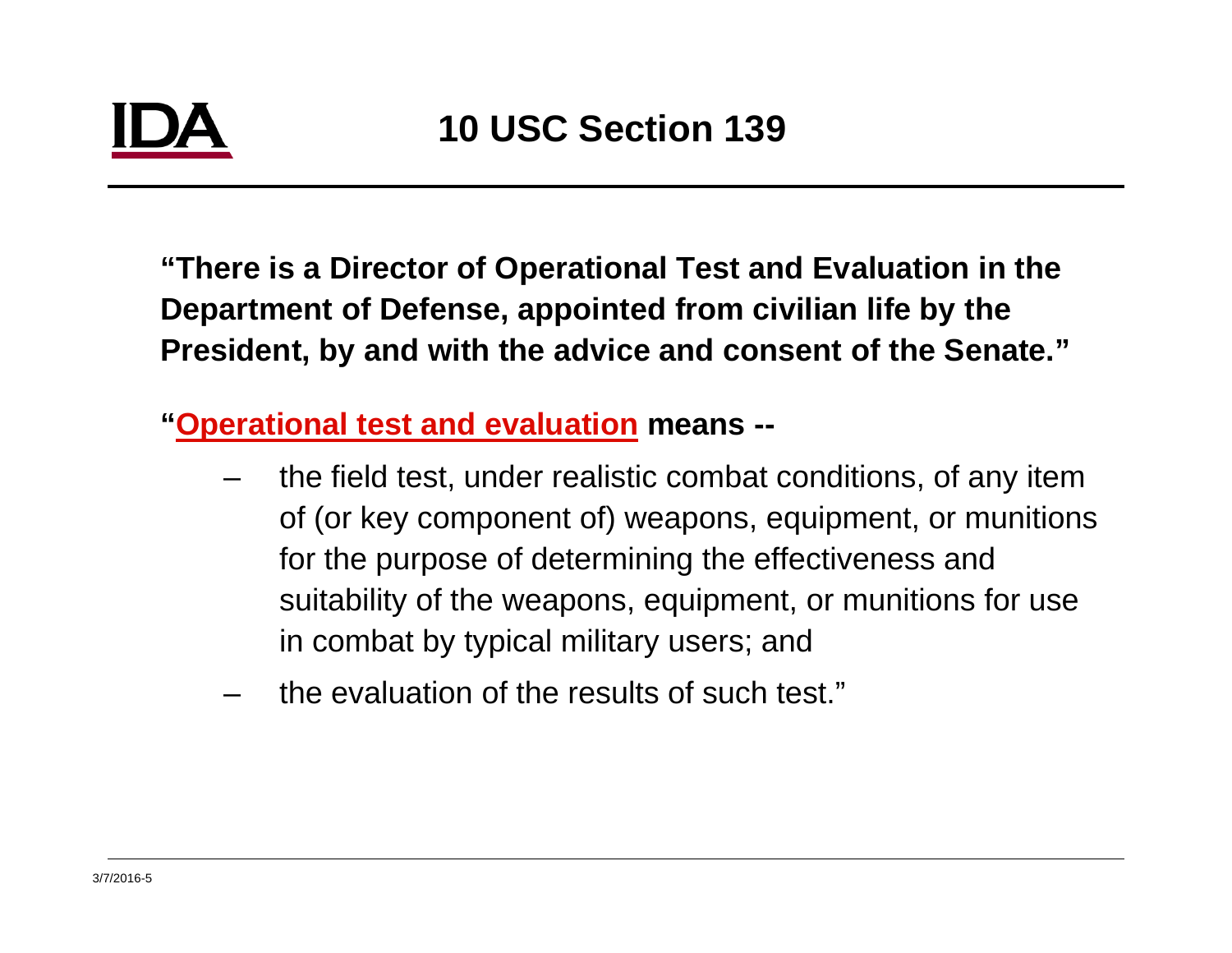**"There is a Director of Operational Test and Evaluation in the Department of Defense, appointed from civilian life by the President, by and with the advice and consent of the Senate."**

**"O ti l t t d l ti Operational test and evaluation means --**

- the field test, under realistic combat conditions, of any item of (or key component of) weapons, equipment, or munitions for the purpose of determining the effectiveness and suitability of the weapons, equipment, or munitions for use in combat by typical military users; and
- the evaluation of the results of such test."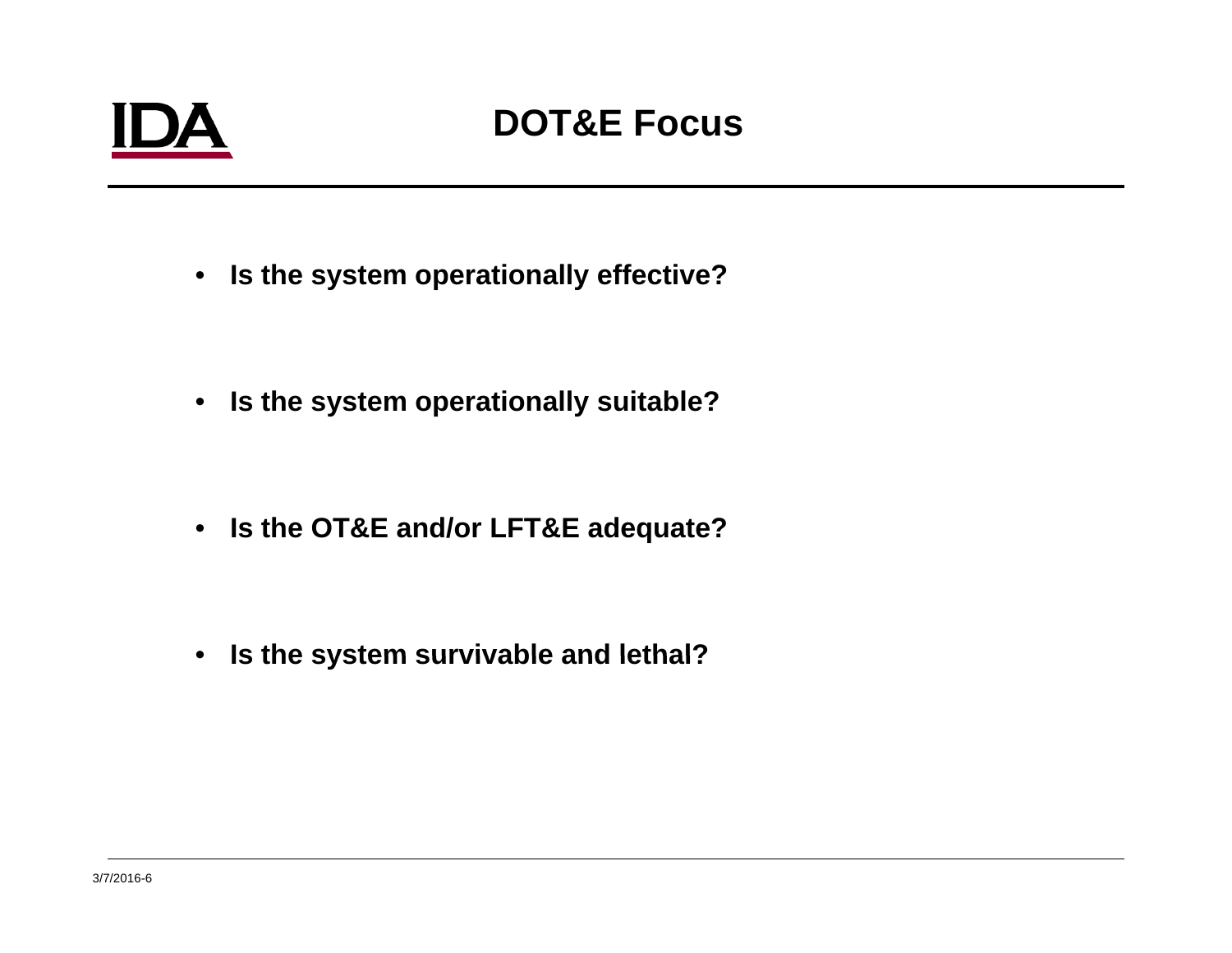## IDA

#### **DOT&E Focus**

- **Is the system operationally effective?**
- **Is the syp y stem operationally suitable?**
- **Is the OT&E and/or LFT&E adequate? and/or**
- **Is the system survivable and lethal?**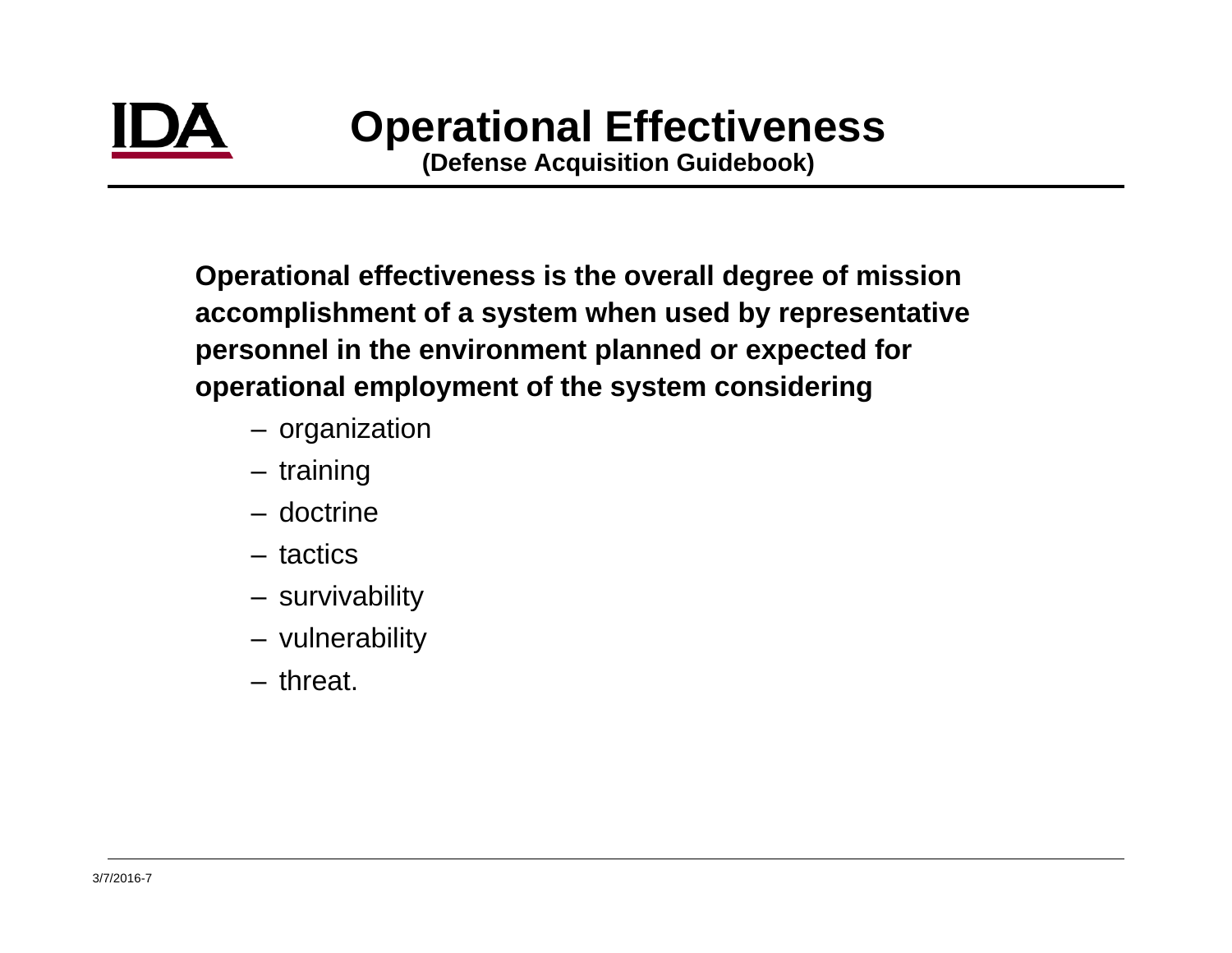**(Defense Ac quisition Guidebook)**

**Operational effectiveness is the overall degree of mission (q )accomplishment of a system when used by representative personnel in the environment planned or expected for operational employment of the system considering** 

- organization
- training
- doctrine
- tactics
- survivability
- vulnerability
- threat.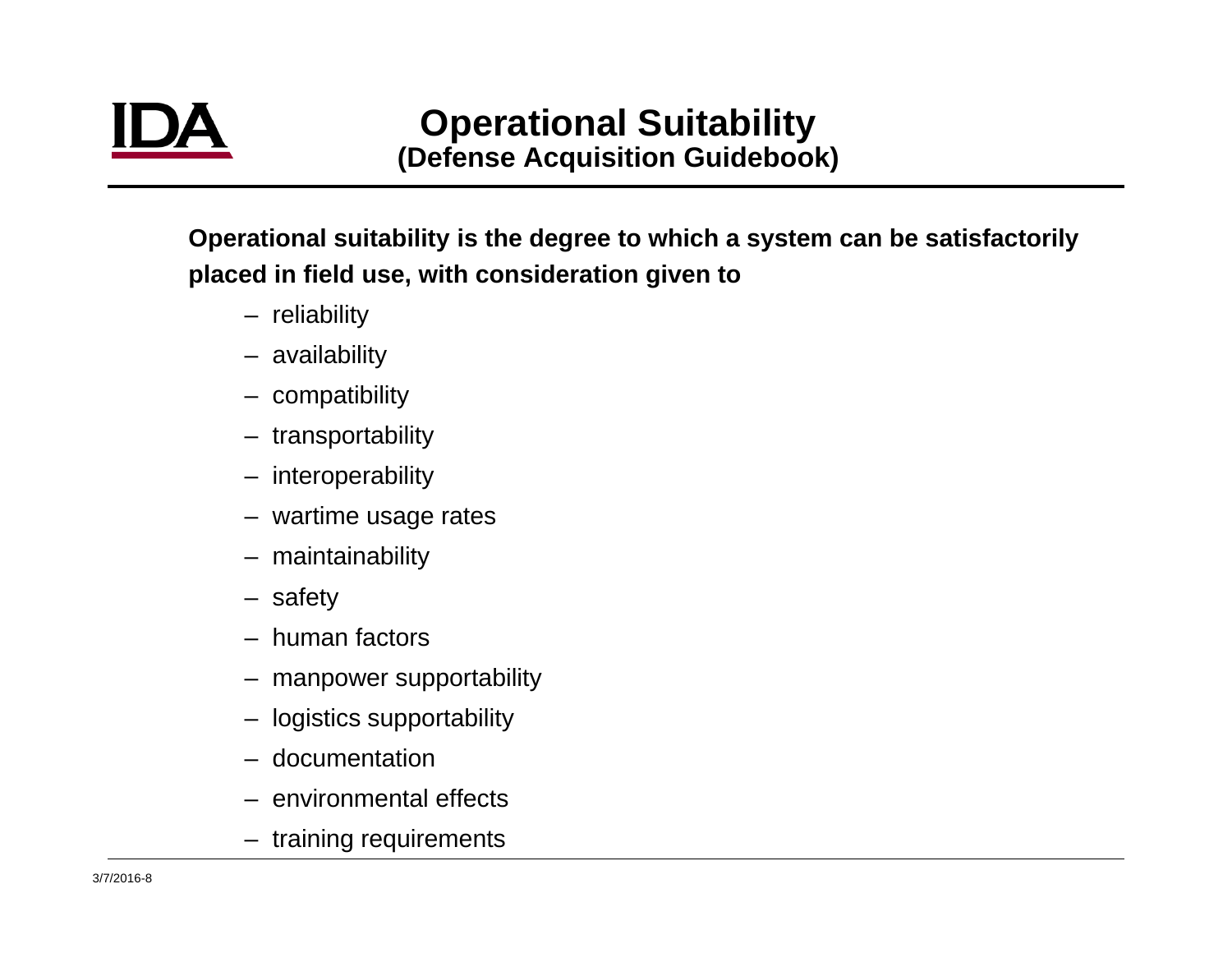**Operational suitability is the degree to which a system can be satisfactorily placed in field use, with consideration given to** 

- reliability
- availability
- compatibility
- transportability
- interoperability
- wartime usage rates
- maintainability
- safety
- human factors
- manpower supportability
- logistics supportability
- documentation
- environmental effects
- training requirements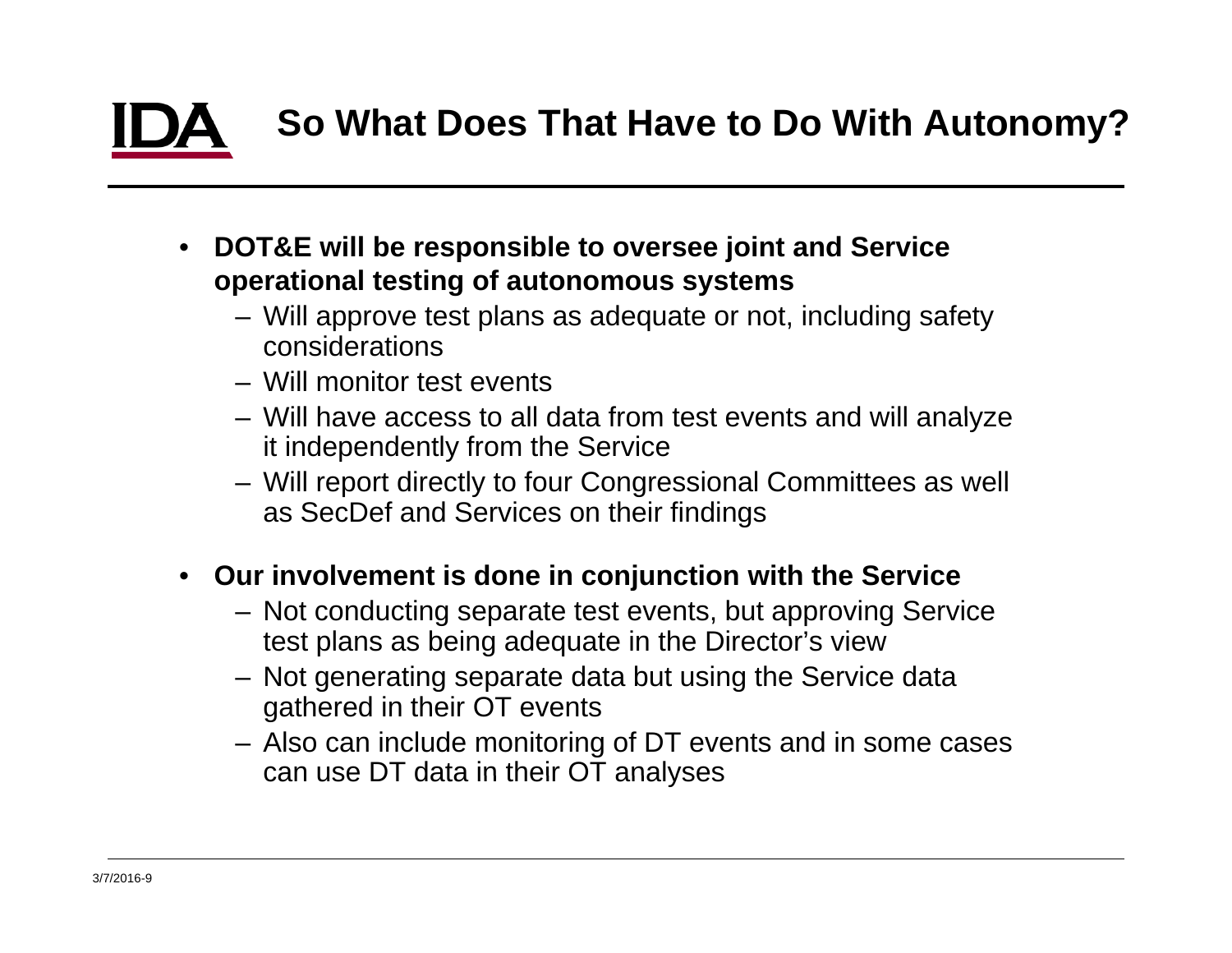### **So What Does That Have to Do With Autonomy?**

- • **DOT&E will be responsible to oversee joint and Service operational testin g y of autonomous s ystems**
	- Will approve test plans as adequate or not, including safety considerations
	- Will monitor test events
	- Will have access to all data from test events and will analyze it independently from the Service
	- Will report directly to four Congressional Committees as well as SecDef and Services on their findings
- **Our involvement is done in conjunction with the Service**
	- Not conducting separate test events, but approving Service test plans as being adequate in the Director's view
	- Not generating separate data but using the Service data gathered in their OT events
	- Also can include monitoring of DT events and in some cases can use DT data in their OT analyses analyses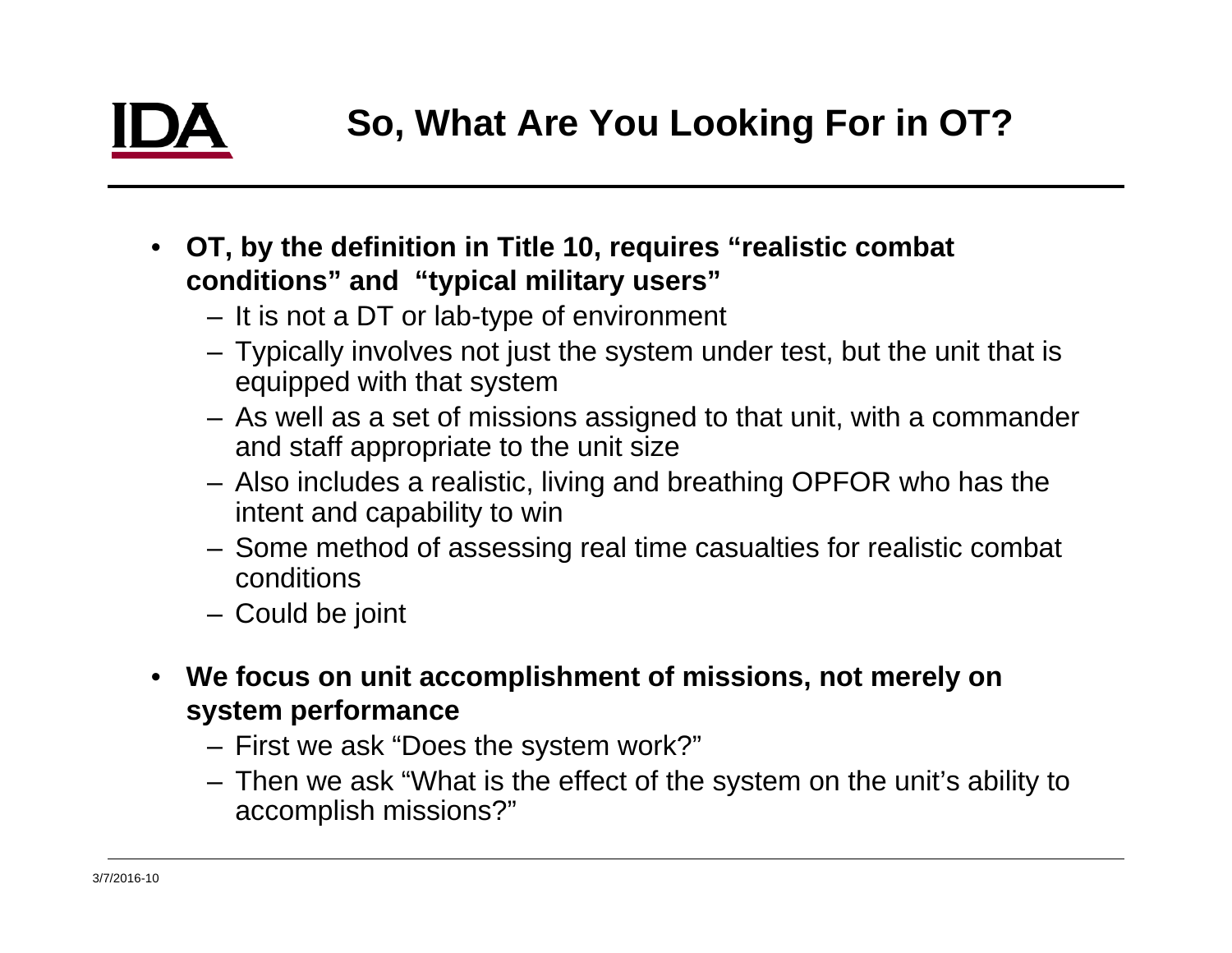- **OT, by the definition in Title 10, requires "realistic combat conditions" and "t y y pical militar y users"**
	- It is not a DT or lab-type of environment
	- Typically involves not just the system under test, but the unit that is equipped with that system
	- $-$  As well as a set of missions assigned to that unit, with a commander and staff appropriate to the unit size
	- Also includes a realistic, living and breathing OPFOR who has the intent and capability to win
	- Some method of assessing real time casualties for realistic combat conditions
	- Could be joint
- **We focus on unit accomplishment of missions, not merely on system performance**
	- First we ask "Does the system work?"
	- $-$  Then we ask "What is the effect of the system on the unit's ability to Then we ask "What is the effect of the system on the unit's ability<br>accomplish missions?"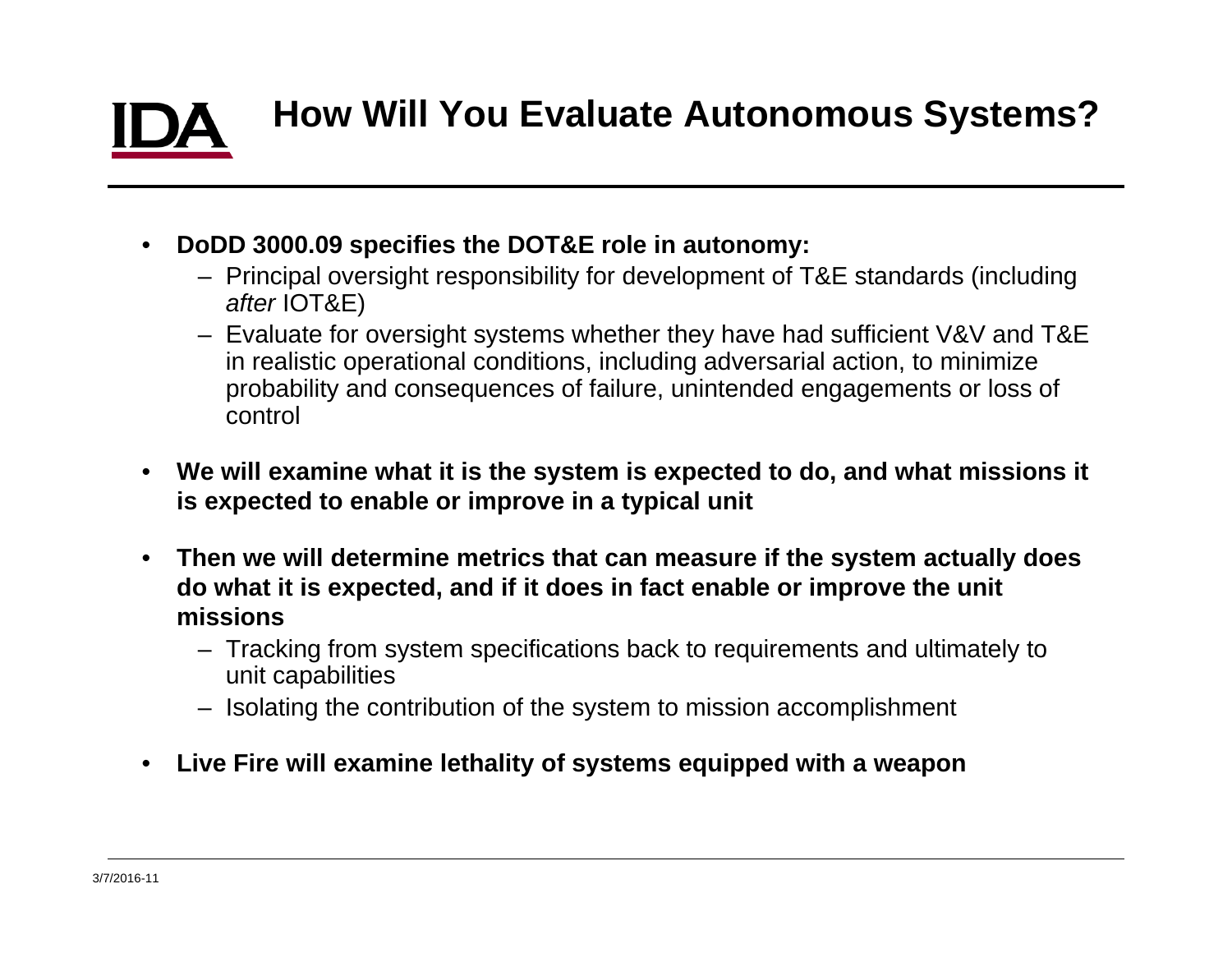# **How Will You Evaluate Autonomous Systems?**

- $\bullet$  **DoDD 3000.09 specifies the DOT&E role in autonomy:**
	- Principal oversight responsibility for development of T&E standards (including *after* IOT&E)
	- Evaluate for oversight systems whether they have had sufficient V&V and T&E in realistic operational conditions, including adversarial action, to minimize probability and consequences of failure, unintended engagements or loss of control
- $\bullet$  **We will examine what it is the system is expected to do, and what missions it is expected to enable or improve in a typical unit**
- $\bullet$  **Then we will determine metrics that can measure if the system actually does do what it is expected, and if it does in fact enable or improve the unit missions**
	- Tracking from system specifications back to requirements and ultimately to unit capabilities
	- Isolating the contribution of the system to mission accomplishment
- $\bullet$ **Live Fire will examine lethalit y of s ystems e quipped with a wea pon y y q pp p**